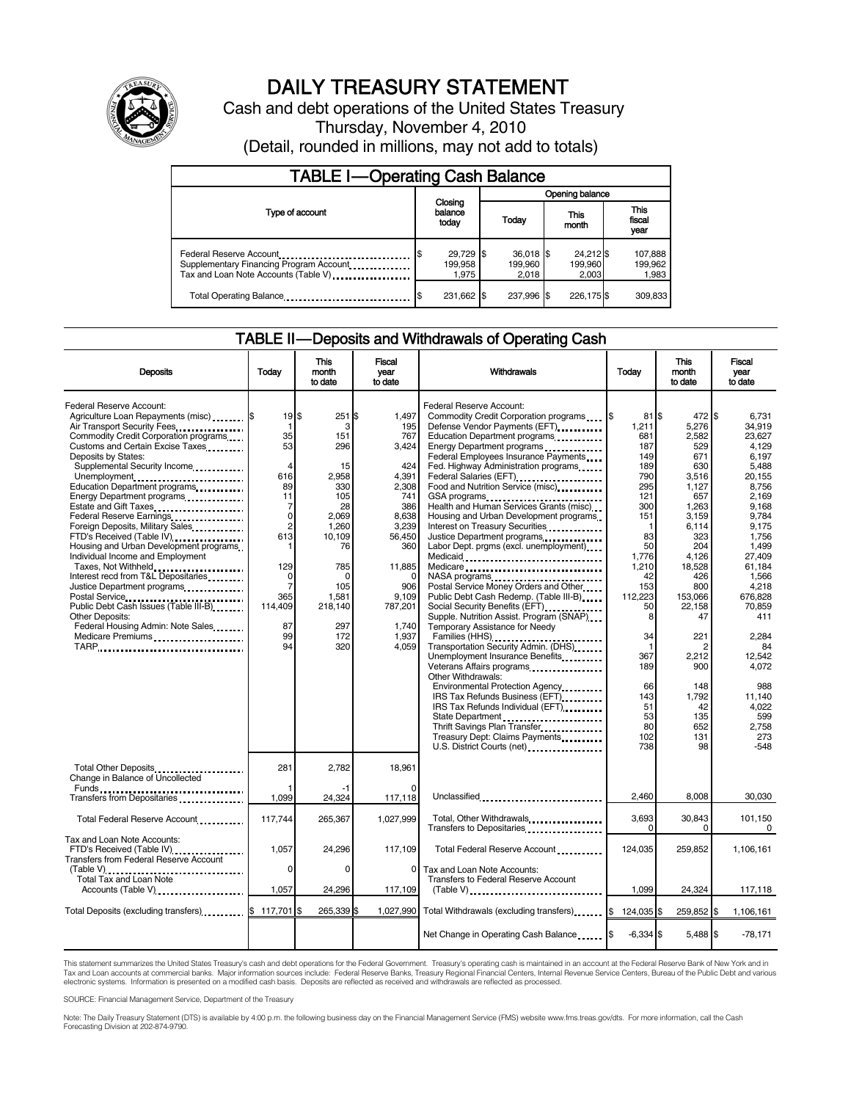

# DAILY TREASURY STATEMENT

Cash and debt operations of the United States Treasury Thursday, November 4, 2010 (Detail, rounded in millions, may not add to totals)

| <b>TABLE I-Operating Cash Balance</b>                                                                            |  |                               |  |                                 |  |                               |  |                               |  |
|------------------------------------------------------------------------------------------------------------------|--|-------------------------------|--|---------------------------------|--|-------------------------------|--|-------------------------------|--|
| Type of account                                                                                                  |  | Closing<br>balance<br>today   |  | Opening balance                 |  |                               |  |                               |  |
|                                                                                                                  |  |                               |  | Today                           |  | This<br>month                 |  | <b>This</b><br>fiscal<br>vear |  |
| Federal Reserve Account<br>Supplementary Financing Program Account<br>Tax and Loan Note Accounts (Table V) [100] |  | 29,729 \$<br>199,958<br>1.975 |  | $36,018$ \$<br>199.960<br>2.018 |  | 24,212 \$<br>199,960<br>2.003 |  | 107,888<br>199,962<br>1,983   |  |
| Total Operating Balance                                                                                          |  | 231,662 \$                    |  | 237.996 \$                      |  | 226.175\$                     |  | 309.833                       |  |

### TABLE II — Deposits and Withdrawals of Operating Cash

| <b>Deposits</b>                                                                                                                                                                                                                                                                                                                                                                                                                                                                                                                                                                                                                                                                                                                             | Today                                                                                                                                                                         | This<br>month<br>to date                                                                                                                                        | Fiscal<br>vear<br>to date                                                                                                                                              | Withdrawals<br>Today                                                                                                                                                                                                                                                                                                                                                                                                                                                                                                                                                                                                                                                                                                                                                                                                                                                                                                                                                                                                                                                                                                                                                 |                                                                                                                                                                                                                                      | This<br>month<br>to date                                                                                                                                                                                                                                 | Fiscal<br>vear<br>to date                                                                                                                                                                                                                                                                    |
|---------------------------------------------------------------------------------------------------------------------------------------------------------------------------------------------------------------------------------------------------------------------------------------------------------------------------------------------------------------------------------------------------------------------------------------------------------------------------------------------------------------------------------------------------------------------------------------------------------------------------------------------------------------------------------------------------------------------------------------------|-------------------------------------------------------------------------------------------------------------------------------------------------------------------------------|-----------------------------------------------------------------------------------------------------------------------------------------------------------------|------------------------------------------------------------------------------------------------------------------------------------------------------------------------|----------------------------------------------------------------------------------------------------------------------------------------------------------------------------------------------------------------------------------------------------------------------------------------------------------------------------------------------------------------------------------------------------------------------------------------------------------------------------------------------------------------------------------------------------------------------------------------------------------------------------------------------------------------------------------------------------------------------------------------------------------------------------------------------------------------------------------------------------------------------------------------------------------------------------------------------------------------------------------------------------------------------------------------------------------------------------------------------------------------------------------------------------------------------|--------------------------------------------------------------------------------------------------------------------------------------------------------------------------------------------------------------------------------------|----------------------------------------------------------------------------------------------------------------------------------------------------------------------------------------------------------------------------------------------------------|----------------------------------------------------------------------------------------------------------------------------------------------------------------------------------------------------------------------------------------------------------------------------------------------|
| Federal Reserve Account:<br>Agriculture Loan Repayments (misc) \$<br>Air Transport Security Fees<br>Commodity Credit Corporation programs<br>Customs and Certain Excise Taxes<br>Deposits by States:<br>Supplemental Security Income<br>Unemployment<br>Education Department programs<br>Energy Department programs<br>Estate and Gift Taxes<br>Federal Reserve Earnings<br>Foreign Deposits, Military Sales<br>FTD's Received (Table IV)<br>Housing and Urban Development programs<br>Individual Income and Employment<br>Taxes, Not Withheld<br>Interest recd from T&L Depositaries<br>Justice Department programs<br>Public Debt Cash Issues (Table III-B).<br>Other Deposits:<br>Federal Housing Admin: Note Sales<br>Medicare Premiums | $19$ $$$<br>-1<br>35<br>53<br>4<br>616<br>89<br>11<br>7<br>$\mathbf 0$<br>$\overline{2}$<br>613<br>1<br>129<br>$\Omega$<br>$\overline{7}$<br>365<br>114,409<br>87<br>99<br>94 | 251S<br>3<br>151<br>296<br>15<br>2,958<br>330<br>105<br>28<br>2,069<br>1.260<br>10,109<br>76<br>785<br>$\Omega$<br>105<br>1,581<br>218,140<br>297<br>172<br>320 | 1.497<br>195<br>767<br>3,424<br>424<br>4,391<br>2,308<br>741<br>386<br>8,638<br>3,239<br>56,450<br>360<br>11,885<br>906<br>9,109<br>787,201<br>1.740<br>1.937<br>4,059 | Federal Reserve Account:<br>Commodity Credit Corporation programs \\$<br>Defense Vendor Payments (EFT).<br>Education Department programs<br>Energy Department programs<br>Federal Employees Insurance Payments<br>Fed. Highway Administration programs<br>Federal Salaries (EFT)<br>Food and Nutrition Service (misc)<br>GSA programs<br>Health and Human Services Grants (misc)<br>Housing and Urban Development programs<br>Interest on Treasury Securities<br>Justice Department programs<br>Labor Dept. prgms (excl. unemployment)<br>Medicaid<br>Medicare<br>NASA programs<br>Postal Service Money Orders and Other<br>Public Debt Cash Redemp. (Table III-B)<br>Social Security Benefits (EFT)<br>Supple. Nutrition Assist. Program (SNAP)<br>Temporary Assistance for Needy<br>Families (HHS)<br>Transportation Security Admin. (DHS)<br>Unemployment Insurance Benefits<br>Veterans Affairs programs<br>x<br>Other Withdrawals:<br>Environmental Protection Agency<br>IRS Tax Refunds Business (EFT)<br>IRS Tax Refunds Individual (EFT)<br>State Department<br>Thrift Savings Plan Transfer<br>Treasury Dept: Claims Payments<br>U.S. District Courts (net) | 81 S<br>1,211<br>681<br>187<br>149<br>189<br>790<br>295<br>121<br>300<br>151<br>-1<br>83<br>50<br>1,776<br>1,210<br>42<br>153<br>112,223<br>50<br>8<br>34<br>$\mathbf{1}$<br>367<br>189<br>66<br>143<br>51<br>53<br>80<br>102<br>738 | 472 \$<br>5,276<br>2,582<br>529<br>671<br>630<br>3,516<br>1,127<br>657<br>1,263<br>3,159<br>6,114<br>323<br>204<br>4,126<br>18,528<br>426<br>800<br>153,066<br>22,158<br>47<br>221<br>2<br>2,212<br>900<br>148<br>1,792<br>42<br>135<br>652<br>131<br>98 | 6.731<br>34,919<br>23.627<br>4.129<br>6.197<br>5,488<br>20,155<br>8,756<br>2.169<br>9,168<br>9.784<br>9.175<br>1,756<br>1,499<br>27,409<br>61.184<br>1.566<br>4,218<br>676,828<br>70.859<br>411<br>2.284<br>84<br>12.542<br>4,072<br>988<br>11,140<br>4,022<br>599<br>2,758<br>273<br>$-548$ |
| Total Other Deposits<br>Change in Balance of Uncollected                                                                                                                                                                                                                                                                                                                                                                                                                                                                                                                                                                                                                                                                                    | 281                                                                                                                                                                           | 2,782                                                                                                                                                           | 18,961                                                                                                                                                                 |                                                                                                                                                                                                                                                                                                                                                                                                                                                                                                                                                                                                                                                                                                                                                                                                                                                                                                                                                                                                                                                                                                                                                                      |                                                                                                                                                                                                                                      |                                                                                                                                                                                                                                                          |                                                                                                                                                                                                                                                                                              |
| Transfers from Depositaries                                                                                                                                                                                                                                                                                                                                                                                                                                                                                                                                                                                                                                                                                                                 | 1.099                                                                                                                                                                         | 24,324                                                                                                                                                          | 117,118                                                                                                                                                                | Unclassified                                                                                                                                                                                                                                                                                                                                                                                                                                                                                                                                                                                                                                                                                                                                                                                                                                                                                                                                                                                                                                                                                                                                                         | 2.460                                                                                                                                                                                                                                | 8,008                                                                                                                                                                                                                                                    | 30,030                                                                                                                                                                                                                                                                                       |
| Total Federal Reserve Account                                                                                                                                                                                                                                                                                                                                                                                                                                                                                                                                                                                                                                                                                                               | 117,744                                                                                                                                                                       | 265,367                                                                                                                                                         | 1,027,999                                                                                                                                                              | Total, Other Withdrawals<br>Transfers to Depositaries                                                                                                                                                                                                                                                                                                                                                                                                                                                                                                                                                                                                                                                                                                                                                                                                                                                                                                                                                                                                                                                                                                                | 3,693<br>$\Omega$                                                                                                                                                                                                                    | 30,843<br>$\Omega$                                                                                                                                                                                                                                       | 101,150<br>$\mathbf 0$                                                                                                                                                                                                                                                                       |
| Tax and Loan Note Accounts:<br>FTD's Received (Table IV)<br><b>Transfers from Federal Reserve Account</b>                                                                                                                                                                                                                                                                                                                                                                                                                                                                                                                                                                                                                                   | 1,057<br>0                                                                                                                                                                    | 24,296<br>0                                                                                                                                                     | 117,109<br>$\mathbf{0}$                                                                                                                                                | Total Federal Reserve Account<br>Tax and Loan Note Accounts:                                                                                                                                                                                                                                                                                                                                                                                                                                                                                                                                                                                                                                                                                                                                                                                                                                                                                                                                                                                                                                                                                                         | 124.035                                                                                                                                                                                                                              | 259.852                                                                                                                                                                                                                                                  | 1.106.161                                                                                                                                                                                                                                                                                    |
| (Table V)<br>Total Tax and Loan Note<br>Accounts (Table V) <b>[19] Accounts</b> (Table V) <b>[19] Accounts</b> (Table V) <b>[19]</b>                                                                                                                                                                                                                                                                                                                                                                                                                                                                                                                                                                                                        | 1,057                                                                                                                                                                         | 24,296                                                                                                                                                          | 117,109                                                                                                                                                                | Transfers to Federal Reserve Account<br>$(Table V)$                                                                                                                                                                                                                                                                                                                                                                                                                                                                                                                                                                                                                                                                                                                                                                                                                                                                                                                                                                                                                                                                                                                  | 1,099                                                                                                                                                                                                                                | 24,324                                                                                                                                                                                                                                                   | 117,118                                                                                                                                                                                                                                                                                      |
|                                                                                                                                                                                                                                                                                                                                                                                                                                                                                                                                                                                                                                                                                                                                             |                                                                                                                                                                               | 265,339 \$                                                                                                                                                      | 1.027.990                                                                                                                                                              | Total Withdrawals (excluding transfers)                                                                                                                                                                                                                                                                                                                                                                                                                                                                                                                                                                                                                                                                                                                                                                                                                                                                                                                                                                                                                                                                                                                              | $$124,035$ $$$                                                                                                                                                                                                                       | 259.852 \$                                                                                                                                                                                                                                               | 1,106,161                                                                                                                                                                                                                                                                                    |
|                                                                                                                                                                                                                                                                                                                                                                                                                                                                                                                                                                                                                                                                                                                                             |                                                                                                                                                                               |                                                                                                                                                                 |                                                                                                                                                                        | Net Change in Operating Cash Balance                                                                                                                                                                                                                                                                                                                                                                                                                                                                                                                                                                                                                                                                                                                                                                                                                                                                                                                                                                                                                                                                                                                                 | \$<br>$-6,334$ \$                                                                                                                                                                                                                    | 5,488 \$                                                                                                                                                                                                                                                 | $-78,171$                                                                                                                                                                                                                                                                                    |

This statement summarizes the United States Treasury's cash and debt operations for the Federal Government. Treasury's operating cash is maintained in an account at the Federal Reserve Bank of New York and in<br>Tax and Loan

SOURCE: Financial Management Service, Department of the Treasury

Note: The Daily Treasury Statement (DTS) is available by 4:00 p.m. the following business day on the Financial Management Service (FMS) website www.fms.treas.gov/dts. For more information, call the Cash Forecasting Division at 202-874-9790.